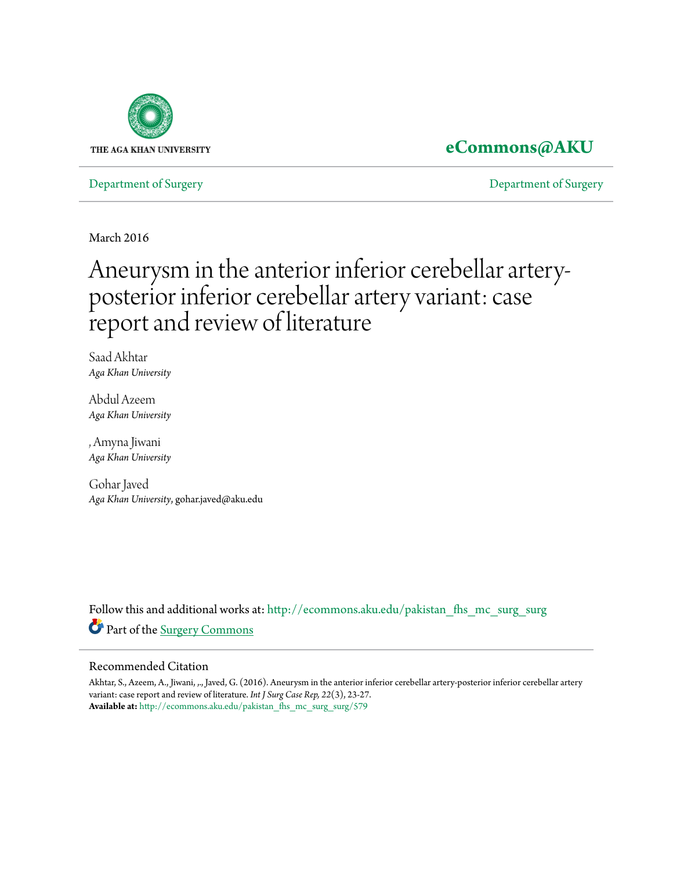

## **[eCommons@AKU](http://ecommons.aku.edu?utm_source=ecommons.aku.edu%2Fpakistan_fhs_mc_surg_surg%2F579&utm_medium=PDF&utm_campaign=PDFCoverPages)**

[Department of Surgery](http://ecommons.aku.edu/pakistan_fhs_mc_surg_surg?utm_source=ecommons.aku.edu%2Fpakistan_fhs_mc_surg_surg%2F579&utm_medium=PDF&utm_campaign=PDFCoverPages) [Department of Surgery](http://ecommons.aku.edu/pakistan_fhs_mc_surg?utm_source=ecommons.aku.edu%2Fpakistan_fhs_mc_surg_surg%2F579&utm_medium=PDF&utm_campaign=PDFCoverPages)

March 2016

# Aneurysm in the anterior inferior cerebellar arteryposterior inferior cerebellar artery variant: case report and review of literature

Saad Akhtar *Aga Khan University*

Abdul Azeem *Aga Khan University*

, Amyna Jiwani *Aga Khan University*

Gohar Javed *Aga Khan University*, gohar.javed@aku.edu

Follow this and additional works at: [http://ecommons.aku.edu/pakistan\\_fhs\\_mc\\_surg\\_surg](http://ecommons.aku.edu/pakistan_fhs_mc_surg_surg?utm_source=ecommons.aku.edu%2Fpakistan_fhs_mc_surg_surg%2F579&utm_medium=PDF&utm_campaign=PDFCoverPages) Part of the [Surgery Commons](http://network.bepress.com/hgg/discipline/706?utm_source=ecommons.aku.edu%2Fpakistan_fhs_mc_surg_surg%2F579&utm_medium=PDF&utm_campaign=PDFCoverPages)

### Recommended Citation

Akhtar, S., Azeem, A., Jiwani, ,., Javed, G. (2016). Aneurysm in the anterior inferior cerebellar artery-posterior inferior cerebellar artery variant: case report and review of literature. *Int J Surg Case Rep, 22*(3), 23-27. **Available at:** [http://ecommons.aku.edu/pakistan\\_fhs\\_mc\\_surg\\_surg/579](http://ecommons.aku.edu/pakistan_fhs_mc_surg_surg/579)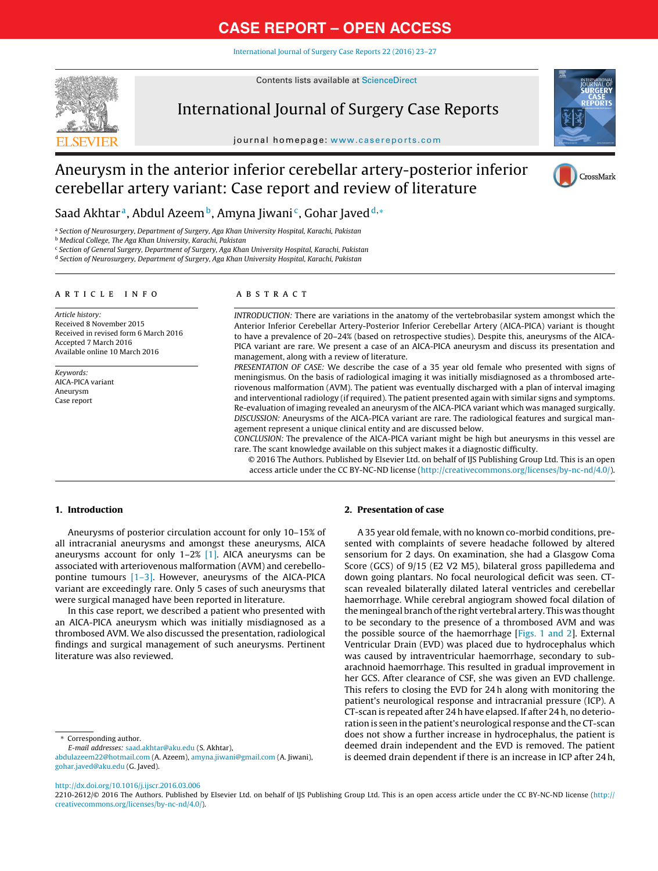[International](dx.doi.org/10.1016/j.ijscr.2016.03.006) Journal of Surgery Case Reports 22 (2016) 23–27



Contents lists available at [ScienceDirect](http://www.sciencedirect.com/science/journal/22102612)

### International Journal of Surgery Case Reports

journal homepage: [www.casereports.com](http://www.casereports.com)



### Aneurysm in the anterior inferior cerebellar artery-posterior inferior cerebellar artery variant: Case report and review of literature



Saad Akhtar<sup>a</sup>, Abdul Azeem<sup>b</sup>, Amyna Jiwani<sup>c</sup>, Gohar Javed<sup>d,</sup> ∗

a Section of Neurosurgery, Department of Surgery, Aga Khan University Hospital, Karachi, Pakistan

**b Medical College, The Aga Khan University, Karachi, Pakistan** 

<sup>c</sup> Section of General Surgery, Department of Surgery, Aga Khan University Hospital, Karachi, Pakistan

<sup>d</sup> Section of Neurosurgery, Department of Surgery, Aga Khan University Hospital, Karachi, Pakistan

#### a r t i c l e i n f o

Article history: Received 8 November 2015 Received in revised form 6 March 2016 Accepted 7 March 2016 Available online 10 March 2016

Keywords: AICA-PICA variant Aneurysm Case report

### A B S T R A C T

INTRODUCTION: There are variations in the anatomy of the vertebrobasilar system amongst which the Anterior Inferior Cerebellar Artery-Posterior Inferior Cerebellar Artery (AICA-PICA) variant is thought to have a prevalence of 20–24% (based on retrospective studies). Despite this, aneurysms of the AICA-PICA variant are rare. We present a case of an AICA-PICA aneurysm and discuss its presentation and management, along with a review of literature.

PRESENTATION OF CASE: We describe the case of a 35 year old female who presented with signs of meningismus. On the basis of radiological imaging it was initially misdiagnosed as a thrombosed arteriovenous malformation (AVM). The patient was eventually discharged with a plan of interval imaging and interventional radiology (if required). The patient presented again with similar signs and symptoms. Re-evaluation of imaging revealed an aneurysm of the AICA-PICA variant which was managed surgically. DISCUSSION: Aneurysms of the AICA-PICA variant are rare. The radiological features and surgical management represent a unique clinical entity and are discussed below.

CONCLUSION: The prevalence of the AICA-PICA variant might be high but aneurysms in this vessel are rare. The scant knowledge available on this subject makes it a diagnostic difficulty.

© 2016 The Authors. Published by Elsevier Ltd. on behalf of IJS Publishing Group Ltd. This is an open access article under the CC BY-NC-ND license [\(http://creativecommons.org/licenses/by-nc-nd/4.0/](http://creativecommons.org/licenses/by-nc-nd/4.0/)).

### **1. Introduction**

Aneurysms of posterior circulation account for only 10–15% of all intracranial aneurysms and amongst these aneurysms, AICA aneurysms account for only  $1-2\%$  [\[1\].](#page-5-0) AICA aneurysms can be associated with arteriovenous malformation (AVM) and cerebellopontine tumours [\[1–3\].](#page-5-0) However, aneurysms of the AICA-PICA variant are exceedingly rare. Only 5 cases of such aneurysms that were surgical managed have been reported in literature.

In this case report, we described a patient who presented with an AICA-PICA aneurysm which was initially misdiagnosed as a thrombosed AVM. We also discussed the presentation, radiological findings and surgical management of such aneurysms. Pertinent literature was also reviewed.

Corresponding author.

E-mail addresses: [saad.akhtar@aku.edu](mailto:saad.akhtar@aku.edu) (S. Akhtar),

[abdulazeem22@hotmail.com](mailto:abdulazeem22@hotmail.com) (A. Azeem), [amyna.jiwani@gmail.com](mailto:amyna.jiwani@gmail.com) (A. Jiwani), [gohar.javed@aku.edu](mailto:gohar.javed@aku.edu) (G. Javed).

### **2. Presentation of case**

A 35 year old female, with no known co-morbid conditions, presented with complaints of severe headache followed by altered sensorium for 2 days. On examination, she had a Glasgow Coma Score (GCS) of 9/15 (E2 V2 M5), bilateral gross papilledema and down going plantars. No focal neurological deficit was seen. CTscan revealed bilaterally dilated lateral ventricles and cerebellar haemorrhage. While cerebral angiogram showed focal dilation of the meningeal branch of the right vertebral artery. This was thought to be secondary to the presence of a thrombosed AVM and was the possible source of the haemorrhage [[Figs.](#page-2-0) 1 and 2]. External Ventricular Drain (EVD) was placed due to hydrocephalus which was caused by intraventricular haemorrhage, secondary to subarachnoid haemorrhage. This resulted in gradual improvement in her GCS. After clearance of CSF, she was given an EVD challenge. This refers to closing the EVD for 24 h along with monitoring the patient's neurological response and intracranial pressure (ICP). A CT-scan is repeated after 24 h have elapsed. If after 24 h, no deterioration is seen in the patient's neurological response and the CT-scan does not show a further increase in hydrocephalus, the patient is deemed drain independent and the EVD is removed. The patient is deemed drain dependent if there is an increase in ICP after 24 h,

[http://dx.doi.org/10.1016/j.ijscr.2016.03.006](dx.doi.org/10.1016/j.ijscr.2016.03.006)

2210-2612/© 2016 The Authors. Published by Elsevier Ltd. on behalf of IJS Publishing Group Ltd. This is an open access article under the CC BY-NC-ND license ([http://](http://creativecommons.org/licenses/by-nc-nd/4.0/) [creativecommons.org/licenses/by-nc-nd/4.0/](http://creativecommons.org/licenses/by-nc-nd/4.0/)).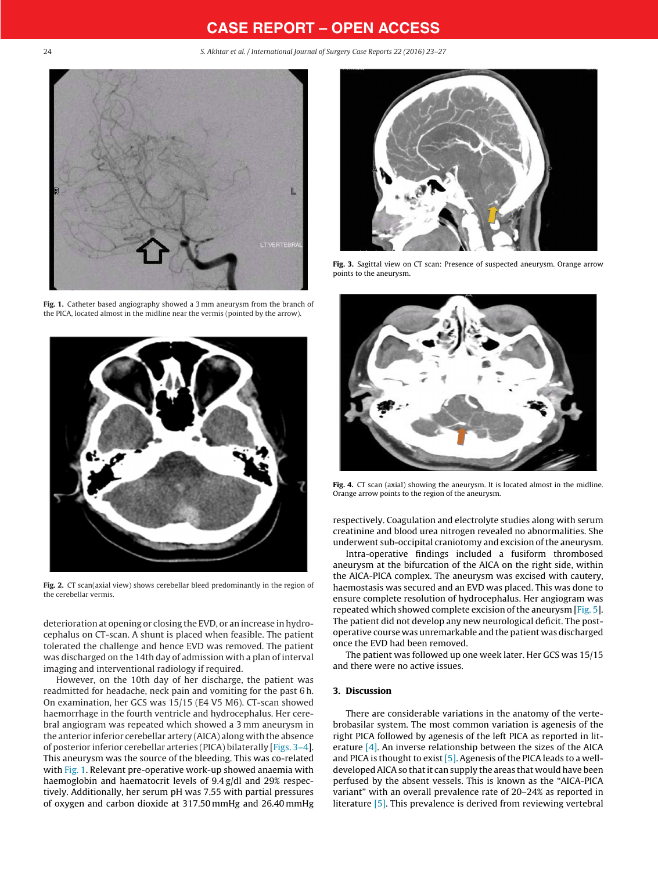<span id="page-2-0"></span>24 S. Akhtar et al. / International Journal of Surgery Case Reports 22 (2016) 23–27



**Fig. 1.** Catheter based angiography showed a 3 mm aneurysm from the branch of the PICA, located almost in the midline near the vermis (pointed by the arrow).



**Fig. 2.** CT scan(axial view) shows cerebellar bleed predominantly in the region of the cerebellar vermis.

deterioration at opening or closing the EVD, or an increase in hydrocephalus on CT-scan. A shunt is placed when feasible. The patient tolerated the challenge and hence EVD was removed. The patient was discharged on the 14th day of admission with a plan of interval imaging and interventional radiology if required.

However, on the 10th day of her discharge, the patient was readmitted for headache, neck pain and vomiting for the past 6 h. On examination, her GCS was 15/15 (E4 V5 M6). CT-scan showed haemorrhage in the fourth ventricle and hydrocephalus. Her cerebral angiogram was repeated which showed a 3 mm aneurysm in the anterior inferior cerebellar artery (AICA) along with the absence of posterior inferior cerebellar arteries (PICA) bilaterally [Figs. 3–4]. This aneurysm was the source of the bleeding. This was co-related with Fig. 1. Relevant pre-operative work-up showed anaemia with haemoglobin and haematocrit levels of 9.4 g/dl and 29% respectively. Additionally, her serum pH was 7.55 with partial pressures of oxygen and carbon dioxide at 317.50 mmHg and 26.40 mmHg



**Fig. 3.** Sagittal view on CT scan: Presence of suspected aneurysm. Orange arrow points to the aneurysm.



**Fig. 4.** CT scan (axial) showing the aneurysm. It is located almost in the midline. Orange arrow points to the region of the aneurysm.

respectively. Coagulation and electrolyte studies along with serum creatinine and blood urea nitrogen revealed no abnormalities. She underwent sub-occipital craniotomy and excision of the aneurysm.

Intra-operative findings included a fusiform thrombosed aneurysm at the bifurcation of the AICA on the right side, within the AICA-PICA complex. The aneurysm was excised with cautery, haemostasis was secured and an EVD was placed. This was done to ensure complete resolution of hydrocephalus. Her angiogram was repeated which showed complete excision of the aneurysm  $[Fig. 5]$  $[Fig. 5]$  $[Fig. 5]$ . The patient did not develop any new neurological deficit. The postoperative course was unremarkable and the patient was discharged once the EVD had been removed.

The patient was followed up one week later. Her GCS was 15/15 and there were no active issues.

### **3. Discussion**

There are considerable variations in the anatomy of the vertebrobasilar system. The most common variation is agenesis of the right PICA followed by agenesis of the left PICA as reported in literature  $[4]$ . An inverse relationship between the sizes of the AICA and PICA is thought to exist  $[5]$ . Agenesis of the PICA leads to a welldeveloped AICA so that it can supply the areas that would have been perfused by the absent vessels. This is known as the "AICA-PICA variant" with an overall prevalence rate of 20–24% as reported in literature [\[5\].](#page-5-0) This prevalence is derived from reviewing vertebral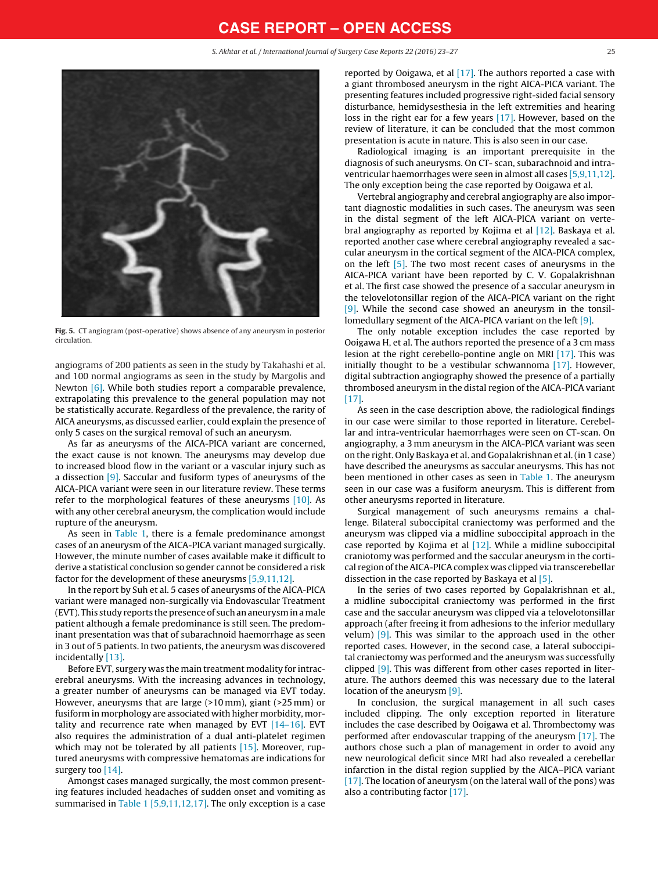S. Akhtar et al. / International Journal of Surgery Case Reports 22 (2016) 23–27 25

<span id="page-3-0"></span>

**Fig. 5.** CT angiogram (post-operative) shows absence of any aneurysm in posterior circulation.

angiograms of 200 patients as seen in the study by Takahashi et al. and 100 normal angiograms as seen in the study by Margolis and Newton [\[6\].](#page-5-0) While both studies report a comparable prevalence, extrapolating this prevalence to the general population may not be statistically accurate. Regardless of the prevalence, the rarity of AICA aneurysms, as discussed earlier, could explain the presence of only 5 cases on the surgical removal of such an aneurysm.

As far as aneurysms of the AICA-PICA variant are concerned, the exact cause is not known. The aneurysms may develop due to increased blood flow in the variant or a vascular injury such as a dissection [\[9\].](#page-5-0) Saccular and fusiform types of aneurysms of the AICA-PICA variant were seen in our literature review. These terms refer to the morphological features of these aneurysms [\[10\].](#page-5-0) As with any other cerebral aneurysm, the complication would include rupture of the aneurysm.

As seen in [Table](#page-4-0) 1, there is a female predominance amongst cases of an aneurysm of the AICA-PICA variant managed surgically. However, the minute number of cases available make it difficult to derive a statistical conclusion so gender cannot be considered a risk factor for the development of these aneurysms [\[5,9,11,12\].](#page-5-0)

In the report by Suh et al. 5 cases of aneurysms of the AICA-PICA variant were managed non-surgically via Endovascular Treatment (EVT). This study reports the presence of such an aneurysmin a male patient although a female predominance is still seen. The predominant presentation was that of subarachnoid haemorrhage as seen in 3 out of 5 patients. In two patients, the aneurysm was discovered incidentally [\[13\].](#page-5-0)

Before EVT, surgery was the main treatment modality for intracerebral aneurysms. With the increasing advances in technology, a greater number of aneurysms can be managed via EVT today. However, aneurysms that are large (>10 mm), giant (>25 mm) or fusiform in morphology are associated with higher morbidity, mortality and recurrence rate when managed by EVT  $[14-16]$ . EVT also requires the administration of a dual anti-platelet regimen which may not be tolerated by all patients [\[15\].](#page-5-0) Moreover, ruptured aneurysms with compressive hematomas are indications for surgery too [\[14\].](#page-5-0)

Amongst cases managed surgically, the most common presenting features included headaches of sudden onset and vomiting as summarised in [Table](#page-4-0) 1 [\[5,9,11,12,17\].](#page-5-0) The only exception is a case reported by Ooigawa, et al [\[17\].](#page-5-0) The authors reported a case with a giant thrombosed aneurysm in the right AICA-PICA variant. The presenting features included progressive right-sided facial sensory disturbance, hemidysesthesia in the left extremities and hearing loss in the right ear for a few years [\[17\].](#page-5-0) However, based on the review of literature, it can be concluded that the most common presentation is acute in nature. This is also seen in our case.

Radiological imaging is an important prerequisite in the diagnosis of such aneurysms. On CT- scan, subarachnoid and intraventricular haemorrhages were seen in almost all cases [\[5,9,11,12\].](#page-5-0) The only exception being the case reported by Ooigawa et al.

Vertebral angiography and cerebral angiography are also important diagnostic modalities in such cases. The aneurysm was seen in the distal segment of the left AICA-PICA variant on vertebral angiography as reported by Kojima et al [\[12\].](#page-5-0) Baskaya et al. reported another case where cerebral angiography revealed a saccular aneurysm in the cortical segment of the AICA-PICA complex, on the left [\[5\].](#page-5-0) The two most recent cases of aneurysms in the AICA-PICA variant have been reported by C. V. Gopalakrishnan et al. The first case showed the presence of a saccular aneurysm in the telovelotonsillar region of the AICA-PICA variant on the right [\[9\].](#page-5-0) While the second case showed an aneurysm in the tonsillomedullary segment of the AICA-PICA variant on the left [\[9\].](#page-5-0)

The only notable exception includes the case reported by Ooigawa H, et al. The authors reported the presence of a 3 cm mass lesion at the right cerebello-pontine angle on MRI [\[17\].](#page-5-0) This was initially thought to be a vestibular schwannoma [\[17\].](#page-5-0) However, digital subtraction angiography showed the presence of a partially thrombosed aneurysm in the distal region of the AICA-PICA variant [\[17\].](#page-5-0)

As seen in the case description above, the radiological findings in our case were similar to those reported in literature. Cerebellar and intra-ventricular haemorrhages were seen on CT-scan. On angiography, a 3 mm aneurysm in the AICA-PICA variant was seen on the right. Only Baskaya et al. and Gopalakrishnan et al.(in 1 case) have described the aneurysms as saccular aneurysms. This has not been mentioned in other cases as seen in [Table](#page-4-0) 1. The aneurysm seen in our case was a fusiform aneurysm. This is different from other aneurysms reported in literature.

Surgical management of such aneurysms remains a challenge. Bilateral suboccipital craniectomy was performed and the aneurysm was clipped via a midline suboccipital approach in the case reported by Kojima et al [\[12\].](#page-5-0) While a midline suboccipital craniotomy was performed and the saccular aneurysm in the cortical region of the AICA-PICA complex was clipped via transcerebellar dissection in the case reported by Baskaya et al [\[5\].](#page-5-0)

In the series of two cases reported by Gopalakrishnan et al., a midline suboccipital craniectomy was performed in the first case and the saccular aneurysm was clipped via a telovelotonsillar approach (after freeing it from adhesions to the inferior medullary velum) [\[9\].](#page-5-0) This was similar to the approach used in the other reported cases. However, in the second case, a lateral suboccipital craniectomy was performed and the aneurysm was successfully clipped [\[9\].](#page-5-0) This was different from other cases reported in literature. The authors deemed this was necessary due to the lateral location of the aneurysm [\[9\].](#page-5-0)

In conclusion, the surgical management in all such cases included clipping. The only exception reported in literature includes the case described by Ooigawa et al. Thrombectomy was performed after endovascular trapping of the aneurysm [\[17\].](#page-5-0) The authors chose such a plan of management in order to avoid any new neurological deficit since MRI had also revealed a cerebellar infarction in the distal region supplied by the AICA–PICA variant [\[17\].](#page-5-0) The location of aneurysm (on the lateral wall of the pons) was also a contributing factor [\[17\].](#page-5-0)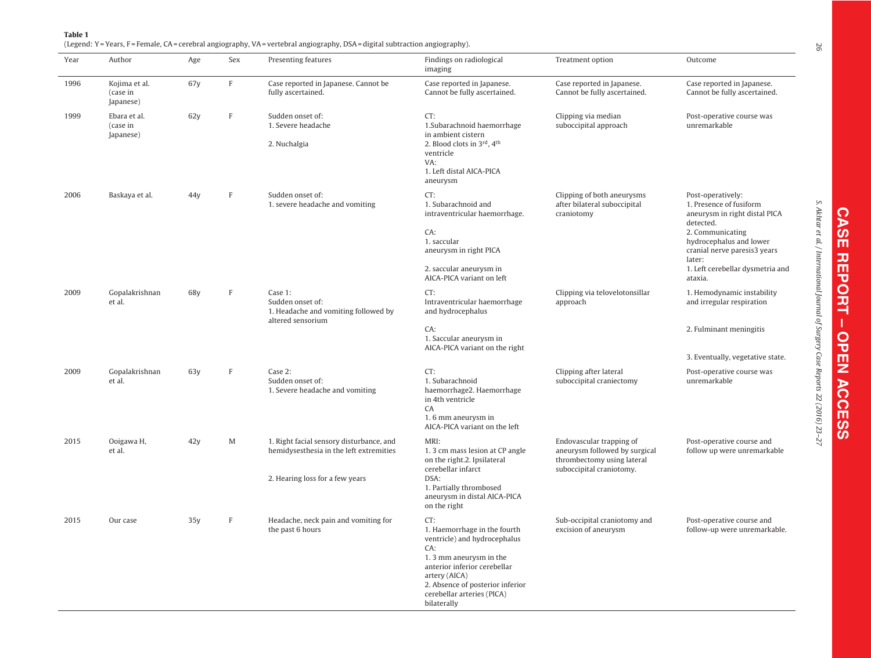<span id="page-4-0"></span>

| Year | Author                                 | Age  | Sex          | Presenting features                                                                                                    | Findings on radiological<br>imaging                                                                                                                                                                                                    | Treatment option                                                                                                    | Outcome                                                                                                                                                                                                                            |
|------|----------------------------------------|------|--------------|------------------------------------------------------------------------------------------------------------------------|----------------------------------------------------------------------------------------------------------------------------------------------------------------------------------------------------------------------------------------|---------------------------------------------------------------------------------------------------------------------|------------------------------------------------------------------------------------------------------------------------------------------------------------------------------------------------------------------------------------|
| 1996 | Kojima et al.<br>(case in<br>Japanese) | 67y  | $\mathbf F$  | Case reported in Japanese. Cannot be<br>fully ascertained.                                                             | Case reported in Japanese.<br>Cannot be fully ascertained.                                                                                                                                                                             | Case reported in Japanese.<br>Cannot be fully ascertained.                                                          | Case reported in Japanese.<br>Cannot be fully ascertained.                                                                                                                                                                         |
| 1999 | Ebara et al.<br>(case in<br>Japanese)  | 62y  | $\mathbb F$  | Sudden onset of:<br>1. Severe headache<br>2. Nuchalgia                                                                 | CT:<br>1.Subarachnoid haemorrhage<br>in ambient cistern<br>2. Blood clots in 3rd, 4th<br>ventricle<br>VA:<br>1. Left distal AICA-PICA<br>aneurysm                                                                                      | Clipping via median<br>suboccipital approach                                                                        | Post-operative course was<br>unremarkable                                                                                                                                                                                          |
| 2006 | Baskaya et al.                         | 44 y | $\mathbb F$  | Sudden onset of:<br>1. severe headache and vomiting                                                                    | CT:<br>1. Subarachnoid and<br>intraventricular haemorrhage.<br>CA:<br>1. saccular<br>aneurysm in right PICA<br>2. saccular aneurysm in<br>AICA-PICA variant on left                                                                    | Clipping of both aneurysms<br>after bilateral suboccipital<br>craniotomy                                            | Post-operatively:<br>1. Presence of fusiform<br>aneurysm in right distal PICA<br>detected.<br>2. Communicating<br>hydrocephalus and lower<br>cranial nerve paresis3 years<br>later:<br>1. Left cerebellar dysmetria and<br>ataxia. |
| 2009 | Gopalakrishnan<br>et al.               | 68y  | $\,$ F       | Case 1:<br>Sudden onset of:<br>1. Headache and vomiting followed by<br>altered sensorium                               | CT:<br>Intraventricular haemorrhage<br>and hydrocephalus                                                                                                                                                                               | Clipping via telovelotonsillar<br>approach                                                                          | 1. Hemodynamic instability<br>and irregular respiration                                                                                                                                                                            |
|      |                                        |      |              |                                                                                                                        | CA:<br>1. Saccular aneurysm in<br>AICA-PICA variant on the right                                                                                                                                                                       |                                                                                                                     | 2. Fulminant meningitis<br>3. Eventually, vegetative state.                                                                                                                                                                        |
| 2009 | Gopalakrishnan<br>et al.               | 63v  | $\mathbf{F}$ | Case 2:<br>Sudden onset of:<br>1. Severe headache and vomiting                                                         | CT:<br>1. Subarachnoid<br>haemorrhage2. Haemorrhage<br>in 4th ventricle<br>CA<br>1.6 mm aneurysm in<br>AICA-PICA variant on the left                                                                                                   | Clipping after lateral<br>suboccipital craniectomy                                                                  | Post-operative course was<br>unremarkable                                                                                                                                                                                          |
| 2015 | Ooigawa H,<br>et al.                   | 42y  | M            | 1. Right facial sensory disturbance, and<br>hemidysesthesia in the left extremities<br>2. Hearing loss for a few years | MRI:<br>1.3 cm mass lesion at CP angle<br>on the right.2. Ipsilateral<br>cerebellar infarct<br>DSA:<br>1. Partially thrombosed<br>aneurysm in distal AICA-PICA<br>on the right                                                         | Endovascular trapping of<br>aneurysm followed by surgical<br>thrombectomy using lateral<br>suboccipital craniotomy. | Post-operative course and<br>follow up were unremarkable                                                                                                                                                                           |
| 2015 | Our case                               | 35y  | $\,$ F       | Headache, neck pain and vomiting for<br>the past 6 hours                                                               | CT:<br>1. Haemorrhage in the fourth<br>ventricle) and hydrocephalus<br>CA:<br>1.3 mm aneurysm in the<br>anterior inferior cerebellar<br>artery (AICA)<br>2. Absence of posterior inferior<br>cerebellar arteries (PICA)<br>bilaterally | Sub-occipital craniotomy and<br>excision of aneurysm                                                                | Post-operative course and<br>follow-up were unremarkable.                                                                                                                                                                          |

S. Akhtar et al. /

International

Journal of Surgery

Case Reports 22 (2016)

23–27